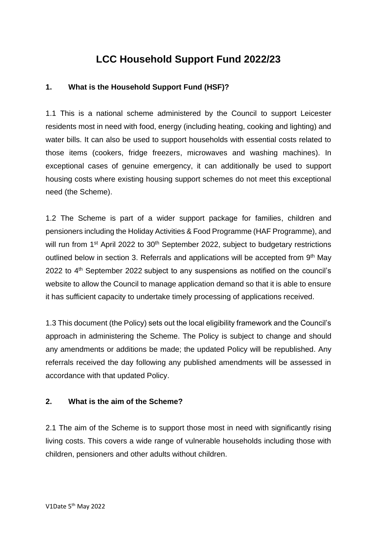# **LCC Household Support Fund 2022/23**

### **1. What is the Household Support Fund (HSF)?**

1.1 This is a national scheme administered by the Council to support Leicester residents most in need with food, energy (including heating, cooking and lighting) and water bills. It can also be used to support households with essential costs related to those items (cookers, fridge freezers, microwaves and washing machines). In exceptional cases of genuine emergency, it can additionally be used to support housing costs where existing housing support schemes do not meet this exceptional need (the Scheme).

1.2 The Scheme is part of a wider support package for families, children and pensioners including the Holiday Activities & Food Programme (HAF Programme), and will run from 1<sup>st</sup> April 2022 to 30<sup>th</sup> September 2022, subject to budgetary restrictions outlined below in section 3. Referrals and applications will be accepted from 9<sup>th</sup> May 2022 to 4<sup>th</sup> September 2022 subject to any suspensions as notified on the council's website to allow the Council to manage application demand so that it is able to ensure it has sufficient capacity to undertake timely processing of applications received.

1.3 This document (the Policy) sets out the local eligibility framework and the Council's approach in administering the Scheme. The Policy is subject to change and should any amendments or additions be made; the updated Policy will be republished. Any referrals received the day following any published amendments will be assessed in accordance with that updated Policy.

#### **2. What is the aim of the Scheme?**

2.1 The aim of the Scheme is to support those most in need with significantly rising living costs. This covers a wide range of vulnerable households including those with children, pensioners and other adults without children.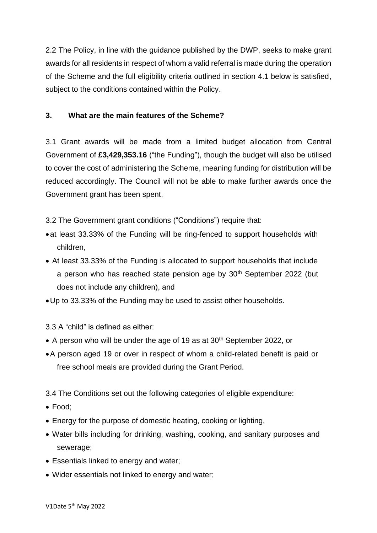2.2 The Policy, in line with the guidance published by the DWP, seeks to make grant awards for all residents in respect of whom a valid referral is made during the operation of the Scheme and the full eligibility criteria outlined in section 4.1 below is satisfied, subject to the conditions contained within the Policy.

## **3. What are the main features of the Scheme?**

3.1 Grant awards will be made from a limited budget allocation from Central Government of **£3,429,353.16** ("the Funding"), though the budget will also be utilised to cover the cost of administering the Scheme, meaning funding for distribution will be reduced accordingly. The Council will not be able to make further awards once the Government grant has been spent.

3.2 The Government grant conditions ("Conditions") require that:

- •at least 33.33% of the Funding will be ring-fenced to support households with children,
- At least 33.33% of the Funding is allocated to support households that include a person who has reached state pension age by  $30<sup>th</sup>$  September 2022 (but does not include any children), and
- •Up to 33.33% of the Funding may be used to assist other households.

3.3 A "child" is defined as either:

- A person who will be under the age of 19 as at 30<sup>th</sup> September 2022, or
- •A person aged 19 or over in respect of whom a child-related benefit is paid or free school meals are provided during the Grant Period.

3.4 The Conditions set out the following categories of eligible expenditure:

- Food;
- Energy for the purpose of domestic heating, cooking or lighting,
- Water bills including for drinking, washing, cooking, and sanitary purposes and sewerage;
- Essentials linked to energy and water;
- Wider essentials not linked to energy and water;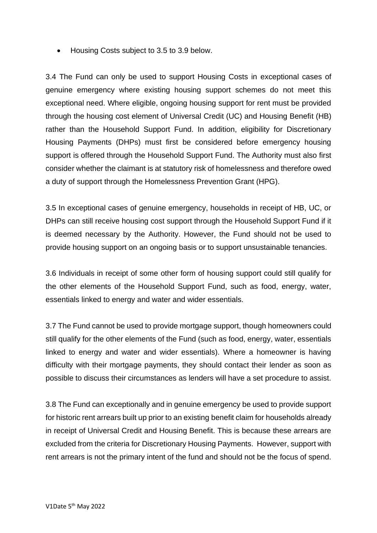• Housing Costs subject to 3.5 to 3.9 below.

3.4 The Fund can only be used to support Housing Costs in exceptional cases of genuine emergency where existing housing support schemes do not meet this exceptional need. Where eligible, ongoing housing support for rent must be provided through the housing cost element of Universal Credit (UC) and Housing Benefit (HB) rather than the Household Support Fund. In addition, eligibility for Discretionary Housing Payments (DHPs) must first be considered before emergency housing support is offered through the Household Support Fund. The Authority must also first consider whether the claimant is at statutory risk of homelessness and therefore owed a duty of support through the Homelessness Prevention Grant (HPG).

3.5 In exceptional cases of genuine emergency, households in receipt of HB, UC, or DHPs can still receive housing cost support through the Household Support Fund if it is deemed necessary by the Authority. However, the Fund should not be used to provide housing support on an ongoing basis or to support unsustainable tenancies.

3.6 Individuals in receipt of some other form of housing support could still qualify for the other elements of the Household Support Fund, such as food, energy, water, essentials linked to energy and water and wider essentials.

3.7 The Fund cannot be used to provide mortgage support, though homeowners could still qualify for the other elements of the Fund (such as food, energy, water, essentials linked to energy and water and wider essentials). Where a homeowner is having difficulty with their mortgage payments, they should contact their lender as soon as possible to discuss their circumstances as lenders will have a set procedure to assist.

3.8 The Fund can exceptionally and in genuine emergency be used to provide support for historic rent arrears built up prior to an existing benefit claim for households already in receipt of Universal Credit and Housing Benefit. This is because these arrears are excluded from the criteria for Discretionary Housing Payments. However, support with rent arrears is not the primary intent of the fund and should not be the focus of spend.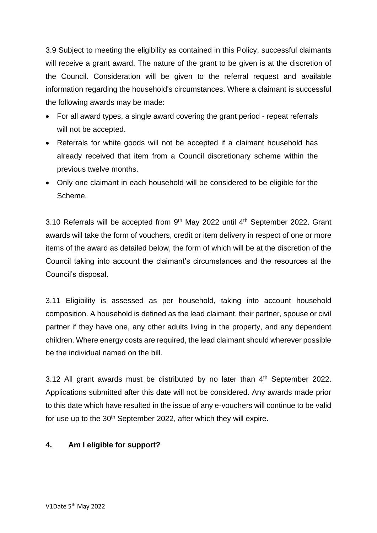3.9 Subject to meeting the eligibility as contained in this Policy, successful claimants will receive a grant award. The nature of the grant to be given is at the discretion of the Council. Consideration will be given to the referral request and available information regarding the household's circumstances. Where a claimant is successful the following awards may be made:

- For all award types, a single award covering the grant period repeat referrals will not be accepted.
- Referrals for white goods will not be accepted if a claimant household has already received that item from a Council discretionary scheme within the previous twelve months.
- Only one claimant in each household will be considered to be eligible for the Scheme.

3.10 Referrals will be accepted from  $9<sup>th</sup>$  May 2022 until  $4<sup>th</sup>$  September 2022. Grant awards will take the form of vouchers, credit or item delivery in respect of one or more items of the award as detailed below, the form of which will be at the discretion of the Council taking into account the claimant's circumstances and the resources at the Council's disposal.

3.11 Eligibility is assessed as per household, taking into account household composition. A household is defined as the lead claimant, their partner, spouse or civil partner if they have one, any other adults living in the property, and any dependent children. Where energy costs are required, the lead claimant should wherever possible be the individual named on the bill.

3.12 All grant awards must be distributed by no later than  $4<sup>th</sup>$  September 2022. Applications submitted after this date will not be considered. Any awards made prior to this date which have resulted in the issue of any e-vouchers will continue to be valid for use up to the 30<sup>th</sup> September 2022, after which they will expire.

## **4. Am I eligible for support?**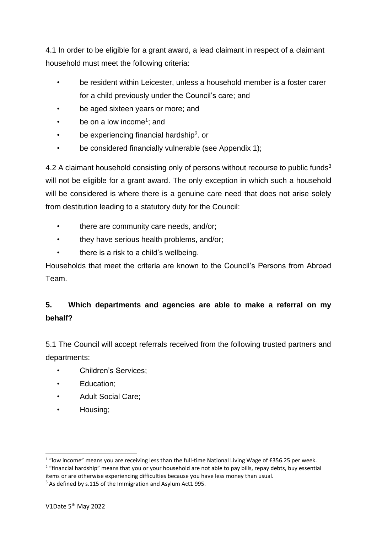4.1 In order to be eligible for a grant award, a lead claimant in respect of a claimant household must meet the following criteria:

- be resident within Leicester, unless a household member is a foster carer for a child previously under the Council's care; and
- be aged sixteen years or more; and
- be on a low income<sup>1</sup>; and
- be experiencing financial hardship<sup>2</sup>. or
- be considered financially vulnerable (see Appendix 1);

4.2 A claimant household consisting only of persons without recourse to public funds<sup>3</sup> will not be eligible for a grant award. The only exception in which such a household will be considered is where there is a genuine care need that does not arise solely from destitution leading to a statutory duty for the Council:

- there are community care needs, and/or;
- they have serious health problems, and/or;
- there is a risk to a child's wellbeing.

Households that meet the criteria are known to the Council's Persons from Abroad Team.

## **5. Which departments and agencies are able to make a referral on my behalf?**

5.1 The Council will accept referrals received from the following trusted partners and departments:

- Children's Services;
- Education;
- Adult Social Care;
- Housing;

 $1$  "low income" means you are receiving less than the full-time National Living Wage of £356.25 per week.

<sup>&</sup>lt;sup>2</sup> "financial hardship" means that you or your household are not able to pay bills, repay debts, buy essential items or are otherwise experiencing difficulties because you have less money than usual.

<sup>&</sup>lt;sup>3</sup> As defined by s.115 of the Immigration and Asylum Act1 995.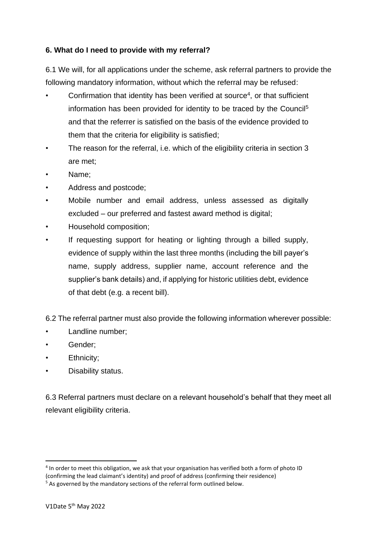## **6. What do I need to provide with my referral?**

6.1 We will, for all applications under the scheme, ask referral partners to provide the following mandatory information, without which the referral may be refused:

- Confirmation that identity has been verified at source<sup>4</sup>, or that sufficient information has been provided for identity to be traced by the Council<sup>5</sup> and that the referrer is satisfied on the basis of the evidence provided to them that the criteria for eligibility is satisfied;
- The reason for the referral, i.e. which of the eligibility criteria in section 3 are met;
- Name:
- Address and postcode;
- Mobile number and email address, unless assessed as digitally excluded – our preferred and fastest award method is digital;
- Household composition;
- If requesting support for heating or lighting through a billed supply, evidence of supply within the last three months (including the bill payer's name, supply address, supplier name, account reference and the supplier's bank details) and, if applying for historic utilities debt, evidence of that debt (e.g. a recent bill).

6.2 The referral partner must also provide the following information wherever possible:

- Landline number;
- Gender:
- Ethnicity:
- Disability status.

6.3 Referral partners must declare on a relevant household's behalf that they meet all relevant eligibility criteria.

<sup>&</sup>lt;sup>4</sup> In order to meet this obligation, we ask that your organisation has verified both a form of photo ID (confirming the lead claimant's identity) and proof of address (confirming their residence)

<sup>&</sup>lt;sup>5</sup> As governed by the mandatory sections of the referral form outlined below.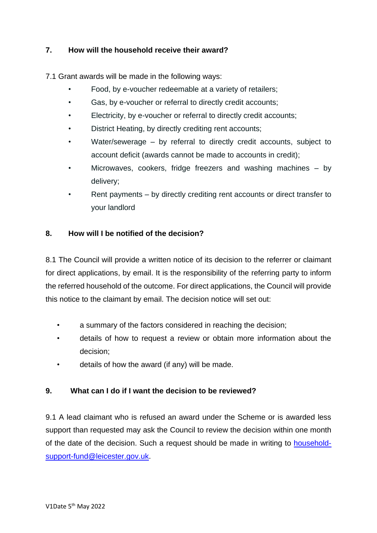## **7. How will the household receive their award?**

7.1 Grant awards will be made in the following ways:

- Food, by e-voucher redeemable at a variety of retailers;
- Gas, by e-voucher or referral to directly credit accounts;
- Electricity, by e-voucher or referral to directly credit accounts;
- District Heating, by directly crediting rent accounts;
- Water/sewerage  $-$  by referral to directly credit accounts, subject to account deficit (awards cannot be made to accounts in credit);
- Microwaves, cookers, fridge freezers and washing machines  $-$  by delivery;
- Rent payments by directly crediting rent accounts or direct transfer to your landlord

## **8. How will I be notified of the decision?**

8.1 The Council will provide a written notice of its decision to the referrer or claimant for direct applications, by email. It is the responsibility of the referring party to inform the referred household of the outcome. For direct applications, the Council will provide this notice to the claimant by email. The decision notice will set out:

- a summary of the factors considered in reaching the decision;
- details of how to request a review or obtain more information about the decision;
- details of how the award (if any) will be made.

## **9. What can I do if I want the decision to be reviewed?**

9.1 A lead claimant who is refused an award under the Scheme or is awarded less support than requested may ask the Council to review the decision within one month of the date of the decision. Such a request should be made in writing to [household](mailto:household-support-fund@leicester.gov.uk)[support-fund@leicester.gov.uk.](mailto:household-support-fund@leicester.gov.uk)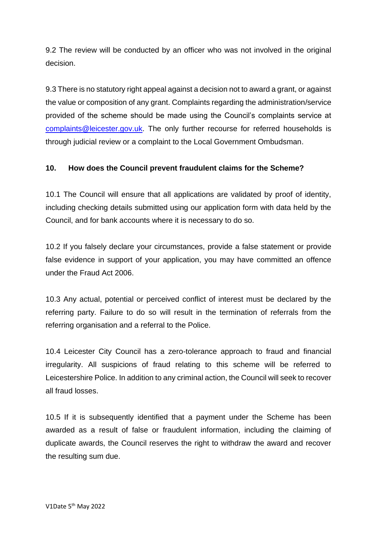9.2 The review will be conducted by an officer who was not involved in the original decision.

9.3 There is no statutory right appeal against a decision not to award a grant, or against the value or composition of any grant. Complaints regarding the administration/service provided of the scheme should be made using the Council's complaints service at [complaints@leicester.gov.uk.](mailto:complaints@leicester.gov.uk) The only further recourse for referred households is through judicial review or a complaint to the Local Government Ombudsman.

## **10. How does the Council prevent fraudulent claims for the Scheme?**

10.1 The Council will ensure that all applications are validated by proof of identity, including checking details submitted using our application form with data held by the Council, and for bank accounts where it is necessary to do so.

10.2 If you falsely declare your circumstances, provide a false statement or provide false evidence in support of your application, you may have committed an offence under the Fraud Act 2006.

10.3 Any actual, potential or perceived conflict of interest must be declared by the referring party. Failure to do so will result in the termination of referrals from the referring organisation and a referral to the Police.

10.4 Leicester City Council has a zero-tolerance approach to fraud and financial irregularity. All suspicions of fraud relating to this scheme will be referred to Leicestershire Police. In addition to any criminal action, the Council will seek to recover all fraud losses.

10.5 If it is subsequently identified that a payment under the Scheme has been awarded as a result of false or fraudulent information, including the claiming of duplicate awards, the Council reserves the right to withdraw the award and recover the resulting sum due.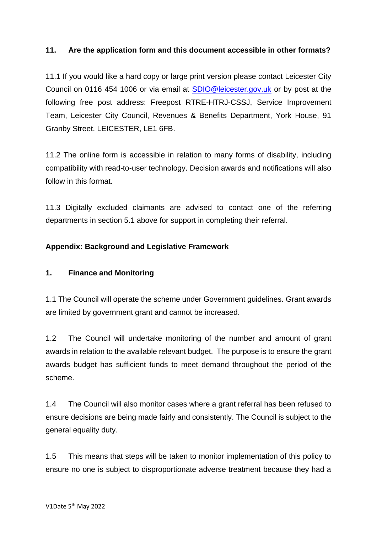## **11. Are the application form and this document accessible in other formats?**

11.1 If you would like a hard copy or large print version please contact Leicester City Council on 0116 454 1006 or via email at [SDIO@leicester.gov.uk](mailto:SDIO@leicester.gov.uk) or by post at the following free post address: Freepost RTRE-HTRJ-CSSJ, Service Improvement Team, Leicester City Council, Revenues & Benefits Department, York House, 91 Granby Street, LEICESTER, LE1 6FB.

11.2 The online form is accessible in relation to many forms of disability, including compatibility with read-to-user technology. Decision awards and notifications will also follow in this format.

11.3 Digitally excluded claimants are advised to contact one of the referring departments in section 5.1 above for support in completing their referral.

## **Appendix: Background and Legislative Framework**

## **1. Finance and Monitoring**

1.1 The Council will operate the scheme under Government guidelines. Grant awards are limited by government grant and cannot be increased.

1.2 The Council will undertake monitoring of the number and amount of grant awards in relation to the available relevant budget. The purpose is to ensure the grant awards budget has sufficient funds to meet demand throughout the period of the scheme.

1.4 The Council will also monitor cases where a grant referral has been refused to ensure decisions are being made fairly and consistently. The Council is subject to the general equality duty.

1.5 This means that steps will be taken to monitor implementation of this policy to ensure no one is subject to disproportionate adverse treatment because they had a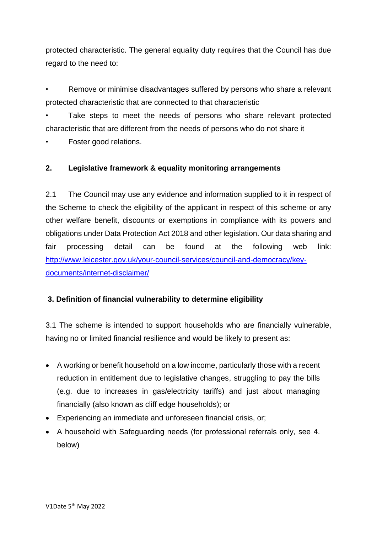protected characteristic. The general equality duty requires that the Council has due regard to the need to:

Remove or minimise disadvantages suffered by persons who share a relevant protected characteristic that are connected to that characteristic

Take steps to meet the needs of persons who share relevant protected characteristic that are different from the needs of persons who do not share it

• Foster good relations.

## **2. Legislative framework & equality monitoring arrangements**

2.1 The Council may use any evidence and information supplied to it in respect of the Scheme to check the eligibility of the applicant in respect of this scheme or any other welfare benefit, discounts or exemptions in compliance with its powers and obligations under Data Protection Act 2018 and other legislation. Our data sharing and fair processing detail can be found at the following web link: [http://www.leicester.gov.uk/your-council-services/council-and-democracy/key](http://www.leicester.gov.uk/your-council-services/council-and-democracy/key-documents/internet-disclaimer/)[documents/internet-disclaimer/](http://www.leicester.gov.uk/your-council-services/council-and-democracy/key-documents/internet-disclaimer/)

## **3. Definition of financial vulnerability to determine eligibility**

3.1 The scheme is intended to support households who are financially vulnerable, having no or limited financial resilience and would be likely to present as:

- A working or benefit household on a low income, particularly those with a recent reduction in entitlement due to legislative changes, struggling to pay the bills (e.g. due to increases in gas/electricity tariffs) and just about managing financially (also known as cliff edge households); or
- Experiencing an immediate and unforeseen financial crisis, or;
- A household with Safeguarding needs (for professional referrals only, see 4. below)